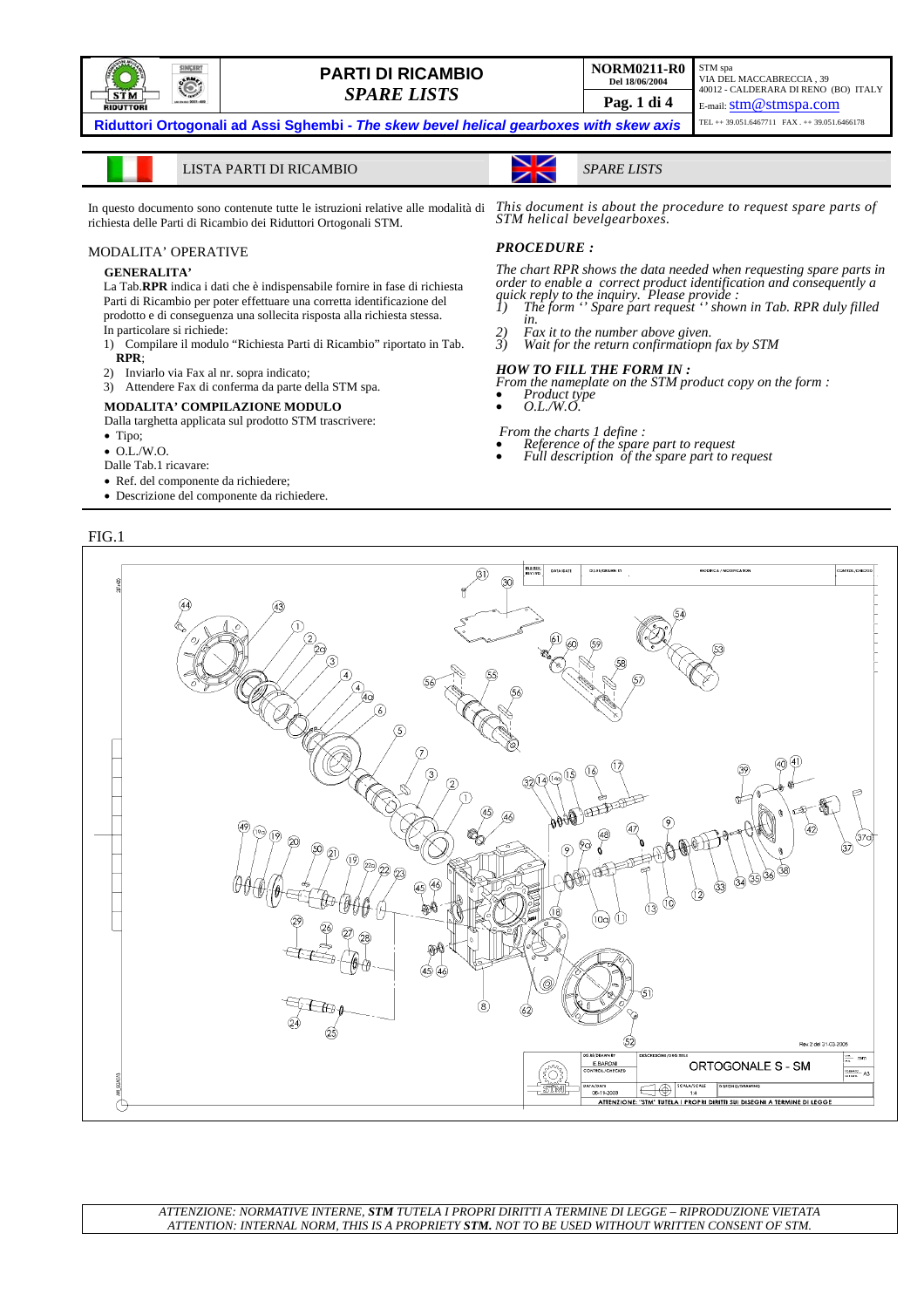

# **PARTI DI RICAMBIO DEL 18/06/2004 PARTI DI RICAMBIO**

**Riduttori Ortogonali ad Assi Sghembi -** *The skew bevel helical gearboxes with skew axis* 

LISTA PARTI DI RICAMBIO *SPARE LISTS*

In questo documento sono contenute tutte le istruzioni relative alle modalità di richiesta delle Parti di Ricambio dei Riduttori Ortogonali STM.

#### MODALITA' OPERATIVE

#### **GENERALITA'**

La Tab.**RPR** indica i dati che è indispensabile fornire in fase di richiesta Parti di Ricambio per poter effettuare una corretta identificazione del prodotto e di conseguenza una sollecita risposta alla richiesta stessa. In particolare si richiede:

- 1) Compilare il modulo "Richiesta Parti di Ricambio" riportato in Tab. **RPR**;
- 2) Inviarlo via Fax al nr. sopra indicato;
- 3) Attendere Fax di conferma da parte della STM spa.

#### **MODALITA' COMPILAZIONE MODULO**

Dalla targhetta applicata sul prodotto STM trascrivere:

- Tipo;
- O.L./W.O.
- Dalle Tab.1 ricavare:
- Ref. del componente da richiedere;
- Descrizione del componente da richiedere.

#### FIG.1

## *This document is about the procedure to request spare parts of STM helical bevelgearboxes.*

#### *PROCEDURE :*

*The chart RPR shows the data needed when requesting spare parts in order to enable a correct product identification and consequently a* 

- *quick reply to the inquiry. Please provide : 1) The form '' Spare part request '' shown in Tab. RPR duly filled in.*
- *2) Fax it to the number above given. 3) Wait for the return confirmatiopn fax by STM*

#### *HOW TO FILL THE FORM IN :*

*From the nameplate on the STM product copy on the form :* • *Product type* • *O.L./W.O.* 

- 
- 
- 
- *From the charts 1 define :*
- *Reference of the spare part to request Full description of the spare part to request*



*ATTENZIONE: NORMATIVE INTERNE, STM TUTELA I PROPRI DIRITTI A TERMINE DI LEGGE – RIPRODUZIONE VIETATA ATTENTION: INTERNAL NORM, THIS IS A PROPRIETY STM. NOT TO BE USED WITHOUT WRITTEN CONSENT OF STM.*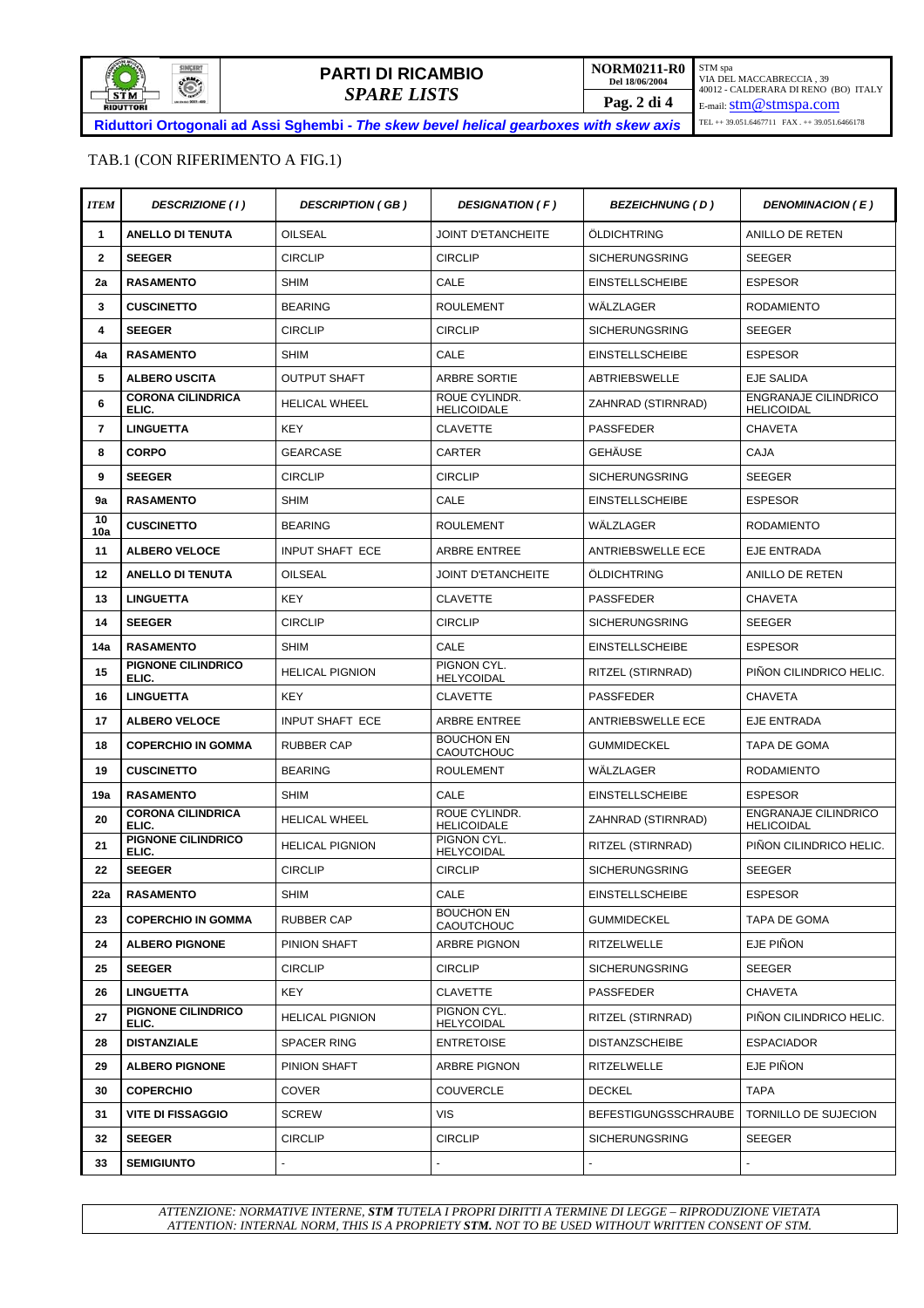

### TAB.1 (CON RIFERIMENTO A FIG.1)

| <b>ITEM</b>    | <b>DESCRIZIONE (1)</b>            | <b>DESCRIPTION (GB)</b> | <b>DESIGNATION (F)</b>                 | <b>BEZEICHNUNG (D)</b>                     | DENOMINACION (E)                                 |
|----------------|-----------------------------------|-------------------------|----------------------------------------|--------------------------------------------|--------------------------------------------------|
| $\mathbf 1$    | <b>ANELLO DI TENUTA</b>           | <b>OILSEAL</b>          | <b>JOINT D'ETANCHEITE</b>              | ÖLDICHTRING                                | ANILLO DE RETEN                                  |
| $\overline{2}$ | <b>SEEGER</b>                     | <b>CIRCLIP</b>          | <b>CIRCLIP</b>                         | <b>SICHERUNGSRING</b>                      | <b>SEEGER</b>                                    |
| 2a             | <b>RASAMENTO</b>                  | <b>SHIM</b>             | CALE                                   | <b>EINSTELLSCHEIBE</b>                     | <b>ESPESOR</b>                                   |
| 3              | <b>CUSCINETTO</b>                 | <b>BEARING</b>          | <b>ROULEMENT</b>                       | WÄLZLAGER                                  | <b>RODAMIENTO</b>                                |
| 4              | <b>SEEGER</b>                     | <b>CIRCLIP</b>          | <b>CIRCLIP</b>                         | <b>SICHERUNGSRING</b>                      | <b>SEEGER</b>                                    |
| 4a             | <b>RASAMENTO</b>                  | <b>SHIM</b>             | CALE                                   | <b>EINSTELLSCHEIBE</b>                     | <b>ESPESOR</b>                                   |
| 5              | <b>ALBERO USCITA</b>              | <b>OUTPUT SHAFT</b>     | ARBRE SORTIE                           | <b>ABTRIEBSWELLE</b>                       | <b>EJE SALIDA</b>                                |
| 6              | <b>CORONA CILINDRICA</b><br>ELIC. | <b>HELICAL WHEEL</b>    | ROUE CYLINDR.<br><b>HELICOIDALE</b>    | ZAHNRAD (STIRNRAD)                         | <b>ENGRANAJE CILINDRICO</b><br><b>HELICOIDAL</b> |
| 7              | <b>LINGUETTA</b>                  | <b>KEY</b>              | <b>CLAVETTE</b>                        | <b>PASSFEDER</b>                           | <b>CHAVETA</b>                                   |
| 8              | <b>CORPO</b>                      | <b>GEARCASE</b>         | CARTER                                 | <b>GEHÄUSE</b>                             | CAJA                                             |
| 9              | <b>SEEGER</b>                     | <b>CIRCLIP</b>          | <b>CIRCLIP</b>                         | <b>SICHERUNGSRING</b>                      | <b>SEEGER</b>                                    |
| 9a             | <b>RASAMENTO</b>                  | <b>SHIM</b>             | CALE                                   | <b>EINSTELLSCHEIBE</b>                     | <b>ESPESOR</b>                                   |
| 10<br>10a      | <b>CUSCINETTO</b>                 | <b>BEARING</b>          | <b>ROULEMENT</b>                       | WÄLZLAGER                                  | <b>RODAMIENTO</b>                                |
| 11             | <b>ALBERO VELOCE</b>              | <b>INPUT SHAFT ECE</b>  | <b>ARBRE ENTREE</b>                    | <b>ANTRIEBSWELLE ECE</b>                   | EJE ENTRADA                                      |
| 12             | <b>ANELLO DI TENUTA</b>           | <b>OILSEAL</b>          | <b>JOINT D'ETANCHEITE</b>              | ÖLDICHTRING                                | ANILLO DE RETEN                                  |
| 13             | <b>LINGUETTA</b>                  | <b>KEY</b>              | <b>CLAVETTE</b>                        | <b>PASSFEDER</b>                           | <b>CHAVETA</b>                                   |
| 14             | <b>SEEGER</b>                     | <b>CIRCLIP</b>          | <b>CIRCLIP</b>                         | <b>SICHERUNGSRING</b>                      | <b>SEEGER</b>                                    |
| 14a            | <b>RASAMENTO</b>                  | <b>SHIM</b>             | CALE                                   | <b>EINSTELLSCHEIBE</b>                     | <b>ESPESOR</b>                                   |
| 15             | PIGNONE CILINDRICO<br>ELIC.       | <b>HELICAL PIGNION</b>  | PIGNON CYL.<br><b>HELYCOIDAL</b>       | RITZEL (STIRNRAD)                          | PIÑON CILINDRICO HELIC.                          |
| 16             | <b>LINGUETTA</b>                  | <b>KEY</b>              | <b>CLAVETTE</b>                        | <b>PASSFEDER</b>                           | <b>CHAVETA</b>                                   |
| 17             | <b>ALBERO VELOCE</b>              | <b>INPUT SHAFT ECE</b>  | ARBRE ENTREE                           | <b>ANTRIEBSWELLE ECE</b>                   | EJE ENTRADA                                      |
| 18             | <b>COPERCHIO IN GOMMA</b>         | <b>RUBBER CAP</b>       | <b>BOUCHON EN</b><br><b>CAOUTCHOUC</b> | <b>GUMMIDECKEL</b>                         | <b>TAPA DE GOMA</b>                              |
| 19             | <b>CUSCINETTO</b>                 | <b>BEARING</b>          | <b>ROULEMENT</b>                       | WÄLZLAGER                                  | <b>RODAMIENTO</b>                                |
| 19a            | <b>RASAMENTO</b>                  | <b>SHIM</b>             | CALE                                   | <b>EINSTELLSCHEIBE</b>                     | <b>ESPESOR</b>                                   |
| 20             | <b>CORONA CILINDRICA</b><br>ELIC. | <b>HELICAL WHEEL</b>    | ROUE CYLINDR.<br><b>HELICOIDALE</b>    | ZAHNRAD (STIRNRAD)                         | <b>ENGRANAJE CILINDRICO</b><br><b>HELICOIDAL</b> |
| 21             | PIGNONE CILINDRICO<br>ELIC.       | <b>HELICAL PIGNION</b>  | PIGNON CYL.<br><b>HELYCOIDAL</b>       | RITZEL (STIRNRAD)                          | PIÑON CILINDRICO HELIC.                          |
| 22             | <b>SEEGER</b>                     | <b>CIRCLIP</b>          | <b>CIRCLIP</b>                         | <b>SICHERUNGSRING</b>                      | <b>SEEGER</b>                                    |
| 22a            | <b>RASAMENTO</b>                  | SHIM                    | CALE                                   | <b>EINSTELLSCHEIBE</b>                     | <b>ESPESOR</b>                                   |
| 23             | <b>COPERCHIO IN GOMMA</b>         | <b>RUBBER CAP</b>       | <b>BOUCHON EN</b><br>CAOUTCHOUC        | <b>GUMMIDECKEL</b>                         | TAPA DE GOMA                                     |
| 24             | <b>ALBERO PIGNONE</b>             | PINION SHAFT            | ARBRE PIGNON                           | RITZELWELLE                                | EJE PIÑON                                        |
| 25             | <b>SEEGER</b>                     | <b>CIRCLIP</b>          | <b>CIRCLIP</b>                         | <b>SICHERUNGSRING</b>                      | <b>SEEGER</b>                                    |
| 26             | <b>LINGUETTA</b>                  | KEY                     | <b>CLAVETTE</b>                        | <b>PASSFEDER</b>                           | <b>CHAVETA</b>                                   |
| 27             | PIGNONE CILINDRICO<br>ELIC.       | <b>HELICAL PIGNION</b>  | PIGNON CYL.<br><b>HELYCOIDAL</b>       | RITZEL (STIRNRAD)                          | PIÑON CILINDRICO HELIC.                          |
| 28             | <b>DISTANZIALE</b>                | <b>SPACER RING</b>      | <b>ENTRETOISE</b>                      | <b>DISTANZSCHEIBE</b><br><b>ESPACIADOR</b> |                                                  |
| 29             | <b>ALBERO PIGNONE</b>             | PINION SHAFT            | ARBRE PIGNON                           | RITZELWELLE                                | EJE PIÑON                                        |
| 30             | <b>COPERCHIO</b>                  | <b>COVER</b>            | <b>COUVERCLE</b>                       | <b>DECKEL</b>                              | <b>TAPA</b>                                      |
| 31             | <b>VITE DI FISSAGGIO</b>          | <b>SCREW</b>            | <b>VIS</b>                             | <b>BEFESTIGUNGSSCHRAUBE</b>                | TORNILLO DE SUJECION                             |
| 32             | <b>SEEGER</b>                     | <b>CIRCLIP</b>          | <b>CIRCLIP</b>                         | <b>SICHERUNGSRING</b>                      | SEEGER                                           |
| 33             | <b>SEMIGIUNTO</b>                 |                         |                                        |                                            |                                                  |

*ATTENZIONE: NORMATIVE INTERNE, STM TUTELA I PROPRI DIRITTI A TERMINE DI LEGGE – RIPRODUZIONE VIETATA ATTENTION: INTERNAL NORM, THIS IS A PROPRIETY STM. NOT TO BE USED WITHOUT WRITTEN CONSENT OF STM.*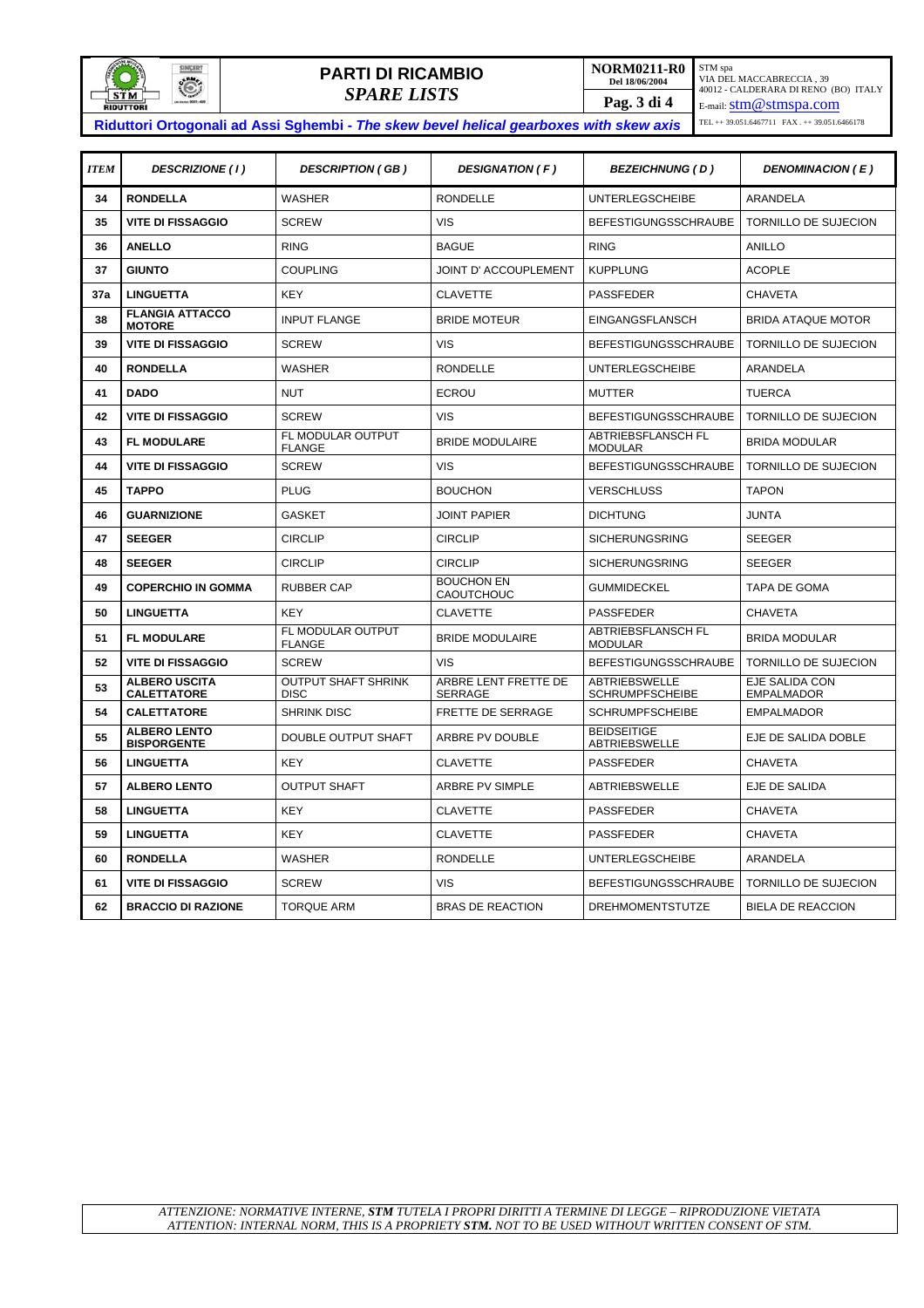

# **PARTI DI RICAMBIO DEL 18/06/2004 PARTI DI RICAMBIO**

*SPARE LISTS* **Pag. 3 di 4**  STM spa<br>VIA DEL MACCABRECCIA , 39<br>40012 - CALDERARA DI RENO (BO) ITALY<br>E-mail: <u>S**tm@stmspa.com**</u> TEL ++ 39.051.6467711 FAX . ++ 39.051.6466178

**Riduttori Ortogonali ad Assi Sghembi -** *The skew bevel helical gearboxes with skew axis* 

| <b>ITEM</b> | DESCRIZIONE (1)                            | <b>DESCRIPTION (GB)</b>                   | DESIGNATION (F)                        | <b>BEZEICHNUNG (D)</b>                         | <b>DENOMINACION (E)</b>             |  |
|-------------|--------------------------------------------|-------------------------------------------|----------------------------------------|------------------------------------------------|-------------------------------------|--|
| 34          | <b>RONDELLA</b>                            | <b>WASHER</b>                             | <b>RONDELLE</b>                        | <b>UNTERLEGSCHEIBE</b>                         | ARANDELA                            |  |
| 35          | <b>VITE DI FISSAGGIO</b>                   | <b>SCREW</b>                              | <b>VIS</b>                             | <b>BEFESTIGUNGSSCHRAUBE</b>                    | TORNILLO DE SUJECION                |  |
| 36          | <b>ANELLO</b>                              | <b>RING</b>                               | <b>BAGUE</b>                           | <b>RING</b>                                    | <b>ANILLO</b>                       |  |
| 37          | <b>GIUNTO</b>                              | <b>COUPLING</b>                           | <b>JOINT D' ACCOUPLEMENT</b>           | <b>KUPPLUNG</b>                                | <b>ACOPLE</b>                       |  |
| 37a         | <b>LINGUETTA</b>                           | <b>KEY</b>                                | <b>CLAVETTE</b>                        | <b>PASSFEDER</b>                               | <b>CHAVETA</b>                      |  |
| 38          | <b>FLANGIA ATTACCO</b><br><b>MOTORE</b>    | <b>INPUT FLANGE</b>                       | <b>BRIDE MOTEUR</b>                    | <b>EINGANGSFLANSCH</b>                         | <b>BRIDA ATAQUE MOTOR</b>           |  |
| 39          | <b>VITE DI FISSAGGIO</b>                   | <b>SCREW</b>                              | <b>VIS</b>                             | <b>BEFESTIGUNGSSCHRAUBE</b>                    | TORNILLO DE SUJECION                |  |
| 40          | <b>RONDELLA</b>                            | <b>WASHER</b>                             | <b>RONDELLE</b>                        | <b>UNTERLEGSCHEIBE</b>                         | <b>ARANDELA</b>                     |  |
| 41          | <b>DADO</b>                                | <b>NUT</b>                                | <b>ECROU</b>                           | <b>MUTTER</b>                                  | <b>TUERCA</b>                       |  |
| 42          | <b>VITE DI FISSAGGIO</b>                   | <b>SCREW</b>                              | <b>VIS</b>                             | <b>BEFESTIGUNGSSCHRAUBE</b>                    | <b>TORNILLO DE SUJECION</b>         |  |
| 43          | <b>FL MODULARE</b>                         | FL MODULAR OUTPUT<br><b>FLANGE</b>        | <b>BRIDE MODULAIRE</b>                 | <b>ABTRIEBSFLANSCH FL</b><br><b>MODULAR</b>    | <b>BRIDA MODULAR</b>                |  |
| 44          | <b>VITE DI FISSAGGIO</b>                   | <b>SCREW</b>                              | <b>VIS</b>                             | <b>BEFESTIGUNGSSCHRAUBE</b>                    | <b>TORNILLO DE SUJECION</b>         |  |
| 45          | <b>TAPPO</b>                               | <b>PLUG</b>                               | <b>BOUCHON</b>                         | <b>VERSCHLUSS</b>                              | <b>TAPON</b>                        |  |
| 46          | <b>GUARNIZIONE</b>                         | <b>GASKET</b>                             | <b>JOINT PAPIER</b>                    | <b>DICHTUNG</b>                                | <b>JUNTA</b>                        |  |
| 47          | <b>SEEGER</b>                              | <b>CIRCLIP</b>                            | <b>CIRCLIP</b>                         | <b>SICHERUNGSRING</b>                          | <b>SEEGER</b>                       |  |
| 48          | <b>SEEGER</b>                              | <b>CIRCLIP</b>                            | <b>CIRCLIP</b>                         | <b>SICHERUNGSRING</b>                          | <b>SEEGER</b>                       |  |
| 49          | <b>COPERCHIO IN GOMMA</b>                  | <b>RUBBER CAP</b>                         | <b>BOUCHON EN</b><br><b>CAOUTCHOUC</b> | <b>GUMMIDECKEL</b>                             | <b>TAPA DE GOMA</b>                 |  |
| 50          | <b>LINGUETTA</b>                           | <b>KEY</b>                                | <b>CLAVETTE</b>                        | <b>PASSFEDER</b>                               | <b>CHAVETA</b>                      |  |
| 51          | <b>FL MODULARE</b>                         | FL MODULAR OUTPUT<br><b>FLANGE</b>        | <b>BRIDE MODULAIRE</b>                 | <b>ABTRIEBSFLANSCH FL</b><br><b>MODULAR</b>    | <b>BRIDA MODULAR</b>                |  |
| 52          | <b>VITE DI FISSAGGIO</b>                   | <b>SCREW</b>                              | <b>VIS</b>                             | <b>BEFESTIGUNGSSCHRAUBE</b>                    | <b>TORNILLO DE SUJECION</b>         |  |
| 53          | <b>ALBERO USCITA</b><br><b>CALETTATORE</b> | <b>OUTPUT SHAFT SHRINK</b><br><b>DISC</b> | ARBRE LENT FRETTE DE<br><b>SERRAGE</b> | <b>ABTRIEBSWELLE</b><br><b>SCHRUMPFSCHEIBE</b> | EJE SALIDA CON<br><b>EMPALMADOR</b> |  |
| 54          | <b>CALETTATORE</b>                         | <b>SHRINK DISC</b>                        | FRETTE DE SERRAGE                      | <b>SCHRUMPFSCHEIBE</b>                         | <b>EMPALMADOR</b>                   |  |
| 55          | <b>ALBERO LENTO</b><br><b>BISPORGENTE</b>  | DOUBLE OUTPUT SHAFT                       | ARBRE PV DOUBLE                        | <b>BEIDSEITIGE</b><br>ABTRIEBSWELLE            | EJE DE SALIDA DOBLE                 |  |
| 56          | <b>LINGUETTA</b>                           | <b>KEY</b>                                | <b>CLAVETTE</b>                        | <b>PASSFEDER</b>                               | <b>CHAVETA</b>                      |  |
| 57          | <b>ALBERO LENTO</b>                        | <b>OUTPUT SHAFT</b>                       | ARBRE PV SIMPLE                        | ABTRIEBSWELLE                                  | EJE DE SALIDA                       |  |
| 58          | <b>LINGUETTA</b>                           | <b>KEY</b>                                | <b>CLAVETTE</b>                        | <b>PASSFEDER</b>                               | <b>CHAVETA</b>                      |  |
| 59          | <b>LINGUETTA</b>                           | <b>KEY</b>                                | <b>CLAVETTE</b>                        | <b>PASSFEDER</b>                               | <b>CHAVETA</b>                      |  |
| 60          | <b>RONDELLA</b>                            | <b>WASHER</b>                             | <b>RONDELLE</b>                        | <b>UNTERLEGSCHEIBE</b>                         | <b>ARANDELA</b>                     |  |
| 61          | <b>VITE DI FISSAGGIO</b>                   | <b>SCREW</b>                              | <b>VIS</b>                             | <b>BEFESTIGUNGSSCHRAUBE</b>                    | TORNILLO DE SUJECION                |  |
| 62          | <b>BRACCIO DI RAZIONE</b>                  | <b>TORQUE ARM</b>                         | <b>BRAS DE REACTION</b>                | <b>DREHMOMENTSTUTZE</b>                        | <b>BIELA DE REACCION</b>            |  |